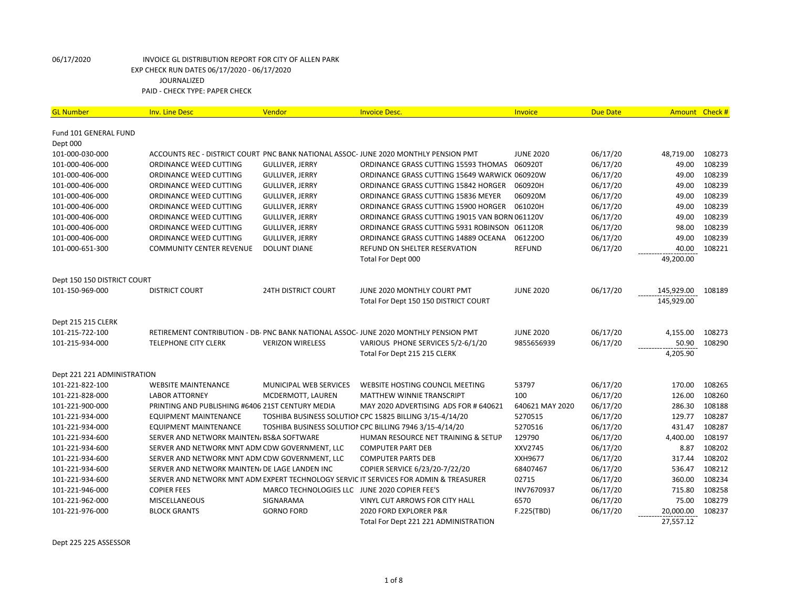| <b>GL Number</b>            | <b>Inv. Line Desc</b>                            | Vendor                                        | <b>Invoice Desc.</b>                                                                  | Invoice          | <b>Due Date</b> |            | Amount Check # |
|-----------------------------|--------------------------------------------------|-----------------------------------------------|---------------------------------------------------------------------------------------|------------------|-----------------|------------|----------------|
| Fund 101 GENERAL FUND       |                                                  |                                               |                                                                                       |                  |                 |            |                |
| Dept 000                    |                                                  |                                               |                                                                                       |                  |                 |            |                |
| 101-000-030-000             |                                                  |                                               | ACCOUNTS REC - DISTRICT COURT PNC BANK NATIONAL ASSOC- JUNE 2020 MONTHLY PENSION PMT  | <b>JUNE 2020</b> | 06/17/20        | 48,719.00  | 108273         |
| 101-000-406-000             | ORDINANCE WEED CUTTING                           | <b>GULLIVER, JERRY</b>                        | ORDINANCE GRASS CUTTING 15593 THOMAS                                                  | 060920T          | 06/17/20        | 49.00      | 108239         |
| 101-000-406-000             | ORDINANCE WEED CUTTING                           | <b>GULLIVER, JERRY</b>                        | ORDINANCE GRASS CUTTING 15649 WARWICK 060920W                                         |                  | 06/17/20        | 49.00      | 108239         |
| 101-000-406-000             | ORDINANCE WEED CUTTING                           | <b>GULLIVER, JERRY</b>                        | ORDINANCE GRASS CUTTING 15842 HORGER                                                  | 060920H          | 06/17/20        | 49.00      | 108239         |
| 101-000-406-000             | ORDINANCE WEED CUTTING                           | <b>GULLIVER, JERRY</b>                        | ORDINANCE GRASS CUTTING 15836 MEYER                                                   | 060920M          | 06/17/20        | 49.00      | 108239         |
| 101-000-406-000             | ORDINANCE WEED CUTTING                           | <b>GULLIVER, JERRY</b>                        | ORDINANCE GRASS CUTTING 15900 HORGER                                                  | 061020H          | 06/17/20        | 49.00      | 108239         |
| 101-000-406-000             | ORDINANCE WEED CUTTING                           | <b>GULLIVER, JERRY</b>                        | ORDINANCE GRASS CUTTING 19015 VAN BORN 061120V                                        |                  | 06/17/20        | 49.00      | 108239         |
| 101-000-406-000             | ORDINANCE WEED CUTTING                           | <b>GULLIVER, JERRY</b>                        | ORDINANCE GRASS CUTTING 5931 ROBINSON 061120R                                         |                  | 06/17/20        | 98.00      | 108239         |
| 101-000-406-000             | ORDINANCE WEED CUTTING                           | <b>GULLIVER, JERRY</b>                        | ORDINANCE GRASS CUTTING 14889 OCEANA                                                  | 0612200          | 06/17/20        | 49.00      | 108239         |
| 101-000-651-300             | <b>COMMUNITY CENTER REVENUE</b>                  | <b>DOLUNT DIANE</b>                           | REFUND ON SHELTER RESERVATION                                                         | <b>REFUND</b>    | 06/17/20        | 40.00      | 108221         |
|                             |                                                  |                                               | Total For Dept 000                                                                    |                  |                 | 49,200.00  |                |
| Dept 150 150 DISTRICT COURT |                                                  |                                               |                                                                                       |                  |                 |            |                |
| 101-150-969-000             | <b>DISTRICT COURT</b>                            | <b>24TH DISTRICT COURT</b>                    | JUNE 2020 MONTHLY COURT PMT                                                           | <b>JUNE 2020</b> | 06/17/20        | 145,929.00 | 108189         |
|                             |                                                  |                                               | Total For Dept 150 150 DISTRICT COURT                                                 |                  |                 | 145,929.00 |                |
| Dept 215 215 CLERK          |                                                  |                                               |                                                                                       |                  |                 |            |                |
| 101-215-722-100             |                                                  |                                               | RETIREMENT CONTRIBUTION - DB- PNC BANK NATIONAL ASSOC- JUNE 2020 MONTHLY PENSION PMT  | <b>JUNE 2020</b> | 06/17/20        | 4,155.00   | 108273         |
| 101-215-934-000             | <b>TELEPHONE CITY CLERK</b>                      | <b>VERIZON WIRELESS</b>                       | VARIOUS PHONE SERVICES 5/2-6/1/20                                                     | 9855656939       | 06/17/20        | 50.90      | 108290         |
|                             |                                                  |                                               | Total For Dept 215 215 CLERK                                                          |                  |                 | 4,205.90   |                |
| Dept 221 221 ADMINISTRATION |                                                  |                                               |                                                                                       |                  |                 |            |                |
| 101-221-822-100             | <b>WEBSITE MAINTENANCE</b>                       | MUNICIPAL WEB SERVICES                        | WEBSITE HOSTING COUNCIL MEETING                                                       | 53797            | 06/17/20        | 170.00     | 108265         |
| 101-221-828-000             | <b>LABOR ATTORNEY</b>                            | MCDERMOTT, LAUREN                             | <b>MATTHEW WINNIE TRANSCRIPT</b>                                                      | 100              | 06/17/20        | 126.00     | 108260         |
| 101-221-900-000             | PRINTING AND PUBLISHING #6406 21ST CENTURY MEDIA |                                               | MAY 2020 ADVERTISING ADS FOR # 640621                                                 | 640621 MAY 2020  | 06/17/20        | 286.30     | 108188         |
| 101-221-934-000             | EQUIPMENT MAINTENANCE                            |                                               | TOSHIBA BUSINESS SOLUTION CPC 15825 BILLING 3/15-4/14/20                              | 5270515          | 06/17/20        | 129.77     | 108287         |
| 101-221-934-000             | <b>EQUIPMENT MAINTENANCE</b>                     |                                               | TOSHIBA BUSINESS SOLUTION CPC BILLING 7946 3/15-4/14/20                               | 5270516          | 06/17/20        | 431.47     | 108287         |
| 101-221-934-600             | SERVER AND NETWORK MAINTEN/ BS&A SOFTWARE        |                                               | HUMAN RESOURCE NET TRAINING & SETUP                                                   | 129790           | 06/17/20        | 4,400.00   | 108197         |
| 101-221-934-600             | SERVER AND NETWORK MNT ADM CDW GOVERNMENT, LLC   |                                               | <b>COMPUTER PART DEB</b>                                                              | XXV2745          | 06/17/20        | 8.87       | 108202         |
| 101-221-934-600             | SERVER AND NETWORK MNT ADM CDW GOVERNMENT, LLC   |                                               | <b>COMPUTER PARTS DEB</b>                                                             | XXH9677          | 06/17/20        | 317.44     | 108202         |
| 101-221-934-600             | SERVER AND NETWORK MAINTEN/ DE LAGE LANDEN INC   |                                               | COPIER SERVICE 6/23/20-7/22/20                                                        | 68407467         | 06/17/20        | 536.47     | 108212         |
| 101-221-934-600             |                                                  |                                               | SERVER AND NETWORK MNT ADM EXPERT TECHNOLOGY SERVIC IT SERVICES FOR ADMIN & TREASURER | 02715            | 06/17/20        | 360.00     | 108234         |
| 101-221-946-000             | <b>COPIER FEES</b>                               | MARCO TECHNOLOGIES LLC JUNE 2020 COPIER FEE'S |                                                                                       | INV7670937       | 06/17/20        | 715.80     | 108258         |
| 101-221-962-000             | <b>MISCELLANEOUS</b>                             | SIGNARAMA                                     | VINYL CUT ARROWS FOR CITY HALL                                                        | 6570             | 06/17/20        | 75.00      | 108279         |
| 101-221-976-000             | <b>BLOCK GRANTS</b>                              | <b>GORNO FORD</b>                             | 2020 FORD EXPLORER P&R                                                                | F.225(TBD)       | 06/17/20        | 20,000.00  | 108237         |
|                             |                                                  |                                               | Total For Dept 221 221 ADMINISTRATION                                                 |                  |                 | 27,557.12  |                |

Dept 225 225 ASSESSOR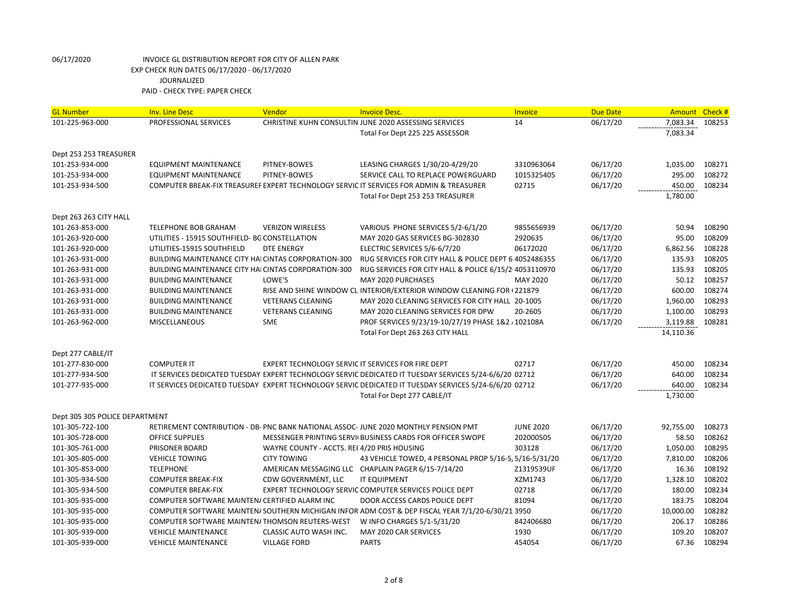| <b>GL Number</b>               | <b>Inv. Line Desc</b>                                       | Vendor                                             | <b>Invoice Desc.</b>                                                                                   | Invoice          | <b>Due Date</b> | Amount Check# |        |
|--------------------------------|-------------------------------------------------------------|----------------------------------------------------|--------------------------------------------------------------------------------------------------------|------------------|-----------------|---------------|--------|
| 101-225-963-000                | PROFESSIONAL SERVICES                                       |                                                    | CHRISTINE KUHN CONSULTIN JUNE 2020 ASSESSING SERVICES                                                  | 14               | 06/17/20        | 7,083.34      | 108253 |
|                                |                                                             |                                                    | Total For Dept 225 225 ASSESSOR                                                                        |                  |                 | 7,083.34      |        |
|                                |                                                             |                                                    |                                                                                                        |                  |                 |               |        |
| Dept 253 253 TREASURER         |                                                             |                                                    |                                                                                                        |                  |                 |               |        |
| 101-253-934-000                | <b>EQUIPMENT MAINTENANCE</b>                                | PITNEY-BOWES                                       | LEASING CHARGES 1/30/20-4/29/20                                                                        | 3310963064       | 06/17/20        | 1,035.00      | 108271 |
| 101-253-934-000                | <b>EQUIPMENT MAINTENANCE</b>                                | PITNEY-BOWES                                       | SERVICE CALL TO REPLACE POWERGUARD                                                                     | 1015325405       | 06/17/20        | 295.00        | 108272 |
| 101-253-934-500                |                                                             |                                                    | COMPUTER BREAK-FIX TREASUREF EXPERT TECHNOLOGY SERVIC IT SERVICES FOR ADMIN & TREASURER                | 02715            | 06/17/20        | 450.00        | 108234 |
|                                |                                                             |                                                    | Total For Dept 253 253 TREASURER                                                                       |                  |                 | 1,780.00      |        |
|                                |                                                             |                                                    |                                                                                                        |                  |                 |               |        |
| Dept 263 263 CITY HALL         |                                                             |                                                    |                                                                                                        |                  |                 |               |        |
| 101-263-853-000                | TELEPHONE BOB GRAHAM                                        | <b>VERIZON WIRELESS</b>                            | VARIOUS PHONE SERVICES 5/2-6/1/20                                                                      | 9855656939       | 06/17/20        | 50.94         | 108290 |
| 101-263-920-000                | UTILITIES - 15915 SOUTHFIELD- BG CONSTELLATION              |                                                    | MAY 2020 GAS SERVICES BG-302830                                                                        | 2920635          | 06/17/20        | 95.00         | 108209 |
| 101-263-920-000                | UTILITIES-15915 SOUTHFIELD                                  | <b>DTE ENERGY</b>                                  | ELECTRIC SERVICES 5/6-6/7/20                                                                           | 06172020         | 06/17/20        | 6,862.56      | 108228 |
| 101-263-931-000                | <b>BUILDING MAINTENANCE CITY HAI CINTAS CORPORATION-300</b> |                                                    | RUG SERVICES FOR CITY HALL & POLICE DEPT 6 4052486355                                                  |                  | 06/17/20        | 135.93        | 108205 |
| 101-263-931-000                | BUILDING MAINTENANCE CITY HAI CINTAS CORPORATION-300        |                                                    | RUG SERVICES FOR CITY HALL & POLICE 6/15/2 4053110970                                                  |                  | 06/17/20        | 135.93        | 108205 |
| 101-263-931-000                | <b>BUILDING MAINTENANCE</b>                                 | LOWE'S                                             | MAY 2020 PURCHASES                                                                                     | MAY 2020         | 06/17/20        | 50.12         | 108257 |
| 101-263-931-000                | <b>BUILDING MAINTENANCE</b>                                 |                                                    | RISE AND SHINE WINDOW CL INTERIOR/EXTERIOR WINDOW CLEANING FOR (221879                                 |                  | 06/17/20        | 600.00        | 108274 |
| 101-263-931-000                | <b>BUILDING MAINTENANCE</b>                                 | <b>VETERANS CLEANING</b>                           | MAY 2020 CLEANING SERVICES FOR CITY HALL 20-1005                                                       |                  | 06/17/20        | 1,960.00      | 108293 |
| 101-263-931-000                | <b>BUILDING MAINTENANCE</b>                                 | <b>VETERANS CLEANING</b>                           | MAY 2020 CLEANING SERVICES FOR DPW                                                                     | 20-2605          | 06/17/20        | 1,100.00      | 108293 |
| 101-263-962-000                | <b>MISCELLANEOUS</b>                                        | <b>SME</b>                                         | PROF SERVICES 9/23/19-10/27/19 PHASE 1&2 / 102108A                                                     |                  | 06/17/20        | 3,119.88      | 108281 |
|                                |                                                             |                                                    | Total For Dept 263 263 CITY HALL                                                                       |                  |                 | 14,110.36     |        |
| Dept 277 CABLE/IT              |                                                             |                                                    |                                                                                                        |                  |                 |               |        |
| 101-277-830-000                | <b>COMPUTER IT</b>                                          | EXPERT TECHNOLOGY SERVIC IT SERVICES FOR FIRE DEPT |                                                                                                        | 02717            | 06/17/20        | 450.00        | 108234 |
| 101-277-934-500                |                                                             |                                                    | IT SERVICES DEDICATED TUESDAY EXPERT TECHNOLOGY SERVIC DEDICATED IT TUESDAY SERVICES 5/24-6/6/20 02712 |                  | 06/17/20        | 640.00        | 108234 |
| 101-277-935-000                |                                                             |                                                    | IT SERVICES DEDICATED TUESDAY EXPERT TECHNOLOGY SERVIC DEDICATED IT TUESDAY SERVICES 5/24-6/6/20 02712 |                  | 06/17/20        | 640.00        | 108234 |
|                                |                                                             |                                                    | Total For Dept 277 CABLE/IT                                                                            |                  |                 | 1,730.00      |        |
|                                |                                                             |                                                    |                                                                                                        |                  |                 |               |        |
| Dept 305 305 POLICE DEPARTMENT |                                                             |                                                    |                                                                                                        |                  |                 |               |        |
| 101-305-722-100                |                                                             |                                                    | RETIREMENT CONTRIBUTION - DB- PNC BANK NATIONAL ASSOC- JUNE 2020 MONTHLY PENSION PMT                   | <b>JUNE 2020</b> | 06/17/20        | 92,755.00     | 108273 |
| 101-305-728-000                | <b>OFFICE SUPPLIES</b>                                      |                                                    | MESSENGER PRINTING SERVI(BUSINESS CARDS FOR OFFICER SWOPE                                              | 202000505        | 06/17/20        | 58.50         | 108262 |
| 101-305-761-000                | PRISONER BOARD                                              | WAYNE COUNTY - ACCTS. RE(4/20 PRIS HOUSING         |                                                                                                        | 303128           | 06/17/20        | 1,050.00      | 108295 |
| 101-305-805-000                | <b>VEHICLE TOWING</b>                                       | <b>CITY TOWING</b>                                 | 43 VEHICLE TOWED, 4 PERSONAL PROP 5/16-5/5/16-5/31/20                                                  |                  | 06/17/20        | 7,810.00      | 108206 |
| 101-305-853-000                | <b>TELEPHONE</b>                                            |                                                    | AMERICAN MESSAGING LLC CHAPLAIN PAGER 6/15-7/14/20                                                     | Z1319539UF       | 06/17/20        | 16.36         | 108192 |
| 101-305-934-500                | <b>COMPUTER BREAK-FIX</b>                                   | CDW GOVERNMENT, LLC                                | <b>IT EQUIPMENT</b>                                                                                    | XZM1743          | 06/17/20        | 1,328.10      | 108202 |
| 101-305-934-500                | <b>COMPUTER BREAK-FIX</b>                                   |                                                    | EXPERT TECHNOLOGY SERVIC COMPUTER SERVICES POLICE DEPT                                                 | 02718            | 06/17/20        | 180.00        | 108234 |
| 101-305-935-000                | COMPUTER SOFTWARE MAINTEN/ CERTIFIED ALARM INC              |                                                    | DOOR ACCESS CARDS POLICE DEPT                                                                          | 81094            | 06/17/20        | 183.75        | 108204 |
| 101-305-935-000                |                                                             |                                                    | COMPUTER SOFTWARE MAINTEN/SOUTHERN MICHIGAN INFOR ADM COST & DEP FISCAL YEAR 7/1/20-6/30/21 3950       |                  | 06/17/20        | 10,000.00     | 108282 |
| 101-305-935-000                | COMPUTER SOFTWARE MAINTEN/THOMSON REUTERS-WEST              |                                                    | W INFO CHARGES 5/1-5/31/20                                                                             | 842406680        | 06/17/20        | 206.17        | 108286 |
| 101-305-939-000                | <b>VEHICLE MAINTENANCE</b>                                  | CLASSIC AUTO WASH INC.                             | MAY 2020 CAR SERVICES                                                                                  | 1930             | 06/17/20        | 109.20        | 108207 |
| 101-305-939-000                | <b>VEHICLE MAINTENANCE</b>                                  | <b>VILLAGE FORD</b>                                | <b>PARTS</b>                                                                                           | 454054           | 06/17/20        | 67.36         | 108294 |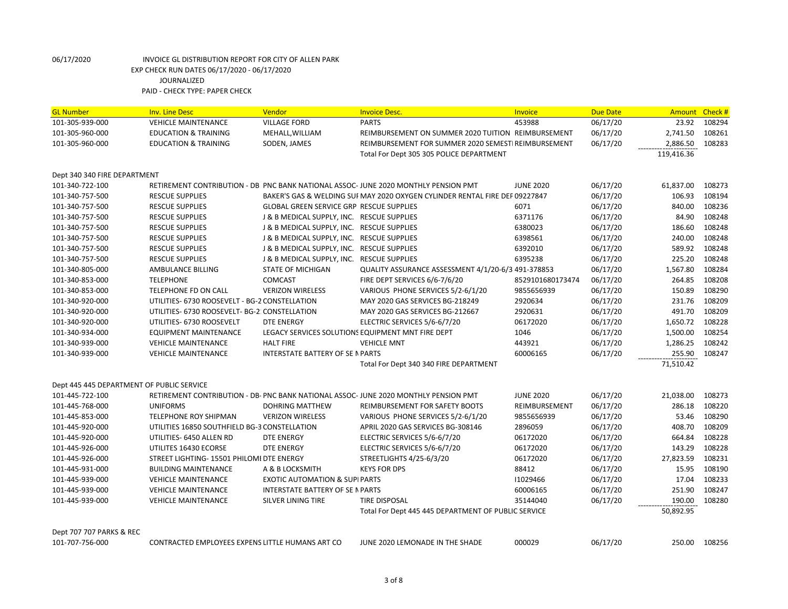| <b>GL Number</b>                          | <b>Inv. Line Desc</b>                            | <b>Vendor</b>                                   | <b>Invoice Desc.</b>                                                                 | Invoice          | <b>Due Date</b> | <b>Amount</b> | Check# |
|-------------------------------------------|--------------------------------------------------|-------------------------------------------------|--------------------------------------------------------------------------------------|------------------|-----------------|---------------|--------|
| 101-305-939-000                           | <b>VEHICLE MAINTENANCE</b>                       | <b>VILLAGE FORD</b>                             | <b>PARTS</b>                                                                         | 453988           | 06/17/20        | 23.92         | 108294 |
| 101-305-960-000                           | <b>EDUCATION &amp; TRAINING</b>                  | MEHALL, WILLIAM                                 | REIMBURSEMENT ON SUMMER 2020 TUITION REIMBURSEMENT                                   |                  | 06/17/20        | 2,741.50      | 108261 |
| 101-305-960-000                           | <b>EDUCATION &amp; TRAINING</b>                  | SODEN, JAMES                                    | REIMBURSEMENT FOR SUMMER 2020 SEMESTI REIMBURSEMENT                                  |                  | 06/17/20        | 2,886.50      | 108283 |
|                                           |                                                  |                                                 | Total For Dept 305 305 POLICE DEPARTMENT                                             |                  |                 | 119,416.36    |        |
|                                           |                                                  |                                                 |                                                                                      |                  |                 |               |        |
| Dept 340 340 FIRE DEPARTMENT              |                                                  |                                                 |                                                                                      |                  |                 |               |        |
| 101-340-722-100                           |                                                  |                                                 | RETIREMENT CONTRIBUTION - DB PNC BANK NATIONAL ASSOC-JUNE 2020 MONTHLY PENSION PMT   | <b>JUNE 2020</b> | 06/17/20        | 61,837.00     | 108273 |
| 101-340-757-500                           | <b>RESCUE SUPPLIES</b>                           |                                                 | BAKER'S GAS & WELDING SUI MAY 2020 OXYGEN CYLINDER RENTAL FIRE DEP 09227847          |                  | 06/17/20        | 106.93        | 108194 |
| 101-340-757-500                           | <b>RESCUE SUPPLIES</b>                           | <b>GLOBAL GREEN SERVICE GRP RESCUE SUPPLIES</b> |                                                                                      | 6071             | 06/17/20        | 840.00        | 108236 |
| 101-340-757-500                           | <b>RESCUE SUPPLIES</b>                           | J & B MEDICAL SUPPLY, INC. RESCUE SUPPLIES      |                                                                                      | 6371176          | 06/17/20        | 84.90         | 108248 |
| 101-340-757-500                           | <b>RESCUE SUPPLIES</b>                           | J & B MEDICAL SUPPLY, INC. RESCUE SUPPLIES      |                                                                                      | 6380023          | 06/17/20        | 186.60        | 108248 |
| 101-340-757-500                           | <b>RESCUE SUPPLIES</b>                           | J & B MEDICAL SUPPLY, INC. RESCUE SUPPLIES      |                                                                                      | 6398561          | 06/17/20        | 240.00        | 108248 |
| 101-340-757-500                           | <b>RESCUE SUPPLIES</b>                           | J & B MEDICAL SUPPLY, INC. RESCUE SUPPLIES      |                                                                                      | 6392010          | 06/17/20        | 589.92        | 108248 |
| 101-340-757-500                           | <b>RESCUE SUPPLIES</b>                           | J & B MEDICAL SUPPLY, INC. RESCUE SUPPLIES      |                                                                                      | 6395238          | 06/17/20        | 225.20        | 108248 |
| 101-340-805-000                           | AMBULANCE BILLING                                | <b>STATE OF MICHIGAN</b>                        | QUALITY ASSURANCE ASSESSMENT 4/1/20-6/3 491-378853                                   |                  | 06/17/20        | 1,567.80      | 108284 |
| 101-340-853-000                           | <b>TELEPHONE</b>                                 | <b>COMCAST</b>                                  | FIRE DEPT SERVICES 6/6-7/6/20                                                        | 8529101680173474 | 06/17/20        | 264.85        | 108208 |
| 101-340-853-000                           | TELEPHONE FD ON CALL                             | <b>VERIZON WIRELESS</b>                         | VARIOUS PHONE SERVICES 5/2-6/1/20                                                    | 9855656939       | 06/17/20        | 150.89        | 108290 |
| 101-340-920-000                           | UTILITIES- 6730 ROOSEVELT - BG-2 CONSTELLATION   |                                                 | MAY 2020 GAS SERVICES BG-218249                                                      | 2920634          | 06/17/20        | 231.76        | 108209 |
| 101-340-920-000                           | UTILITIES- 6730 ROOSEVELT- BG-2: CONSTELLATION   |                                                 | MAY 2020 GAS SERVICES BG-212667                                                      | 2920631          | 06/17/20        | 491.70        | 108209 |
| 101-340-920-000                           | UTILITIES- 6730 ROOSEVELT                        | <b>DTE ENERGY</b>                               | ELECTRIC SERVICES 5/6-6/7/20                                                         | 06172020         | 06/17/20        | 1,650.72      | 108228 |
| 101-340-934-000                           | <b>EQUIPMENT MAINTENANCE</b>                     |                                                 | LEGACY SERVICES SOLUTIONS EQUIPMENT MNT FIRE DEPT                                    | 1046             | 06/17/20        | 1,500.00      | 108254 |
| 101-340-939-000                           | <b>VEHICLE MAINTENANCE</b>                       | <b>HALT FIRE</b>                                | <b>VEHICLE MNT</b>                                                                   | 443921           | 06/17/20        | 1,286.25      | 108242 |
| 101-340-939-000                           | <b>VEHICLE MAINTENANCE</b>                       | <b>INTERSTATE BATTERY OF SE N PARTS</b>         |                                                                                      | 60006165         | 06/17/20        | 255.90        | 108247 |
|                                           |                                                  |                                                 | Total For Dept 340 340 FIRE DEPARTMENT                                               |                  |                 | 71,510.42     |        |
|                                           |                                                  |                                                 |                                                                                      |                  |                 |               |        |
| Dept 445 445 DEPARTMENT OF PUBLIC SERVICE |                                                  |                                                 |                                                                                      |                  |                 |               |        |
| 101-445-722-100                           |                                                  |                                                 | RETIREMENT CONTRIBUTION - DB- PNC BANK NATIONAL ASSOC- JUNE 2020 MONTHLY PENSION PMT | <b>JUNE 2020</b> | 06/17/20        | 21,038.00     | 108273 |
| 101-445-768-000                           | <b>UNIFORMS</b>                                  | <b>DOHRING MATTHEW</b>                          | REIMBURSEMENT FOR SAFETY BOOTS                                                       | REIMBURSEMENT    | 06/17/20        | 286.18        | 108220 |
| 101-445-853-000                           | TELEPHONE ROY SHIPMAN                            | <b>VERIZON WIRELESS</b>                         | VARIOUS PHONE SERVICES 5/2-6/1/20                                                    | 9855656939       | 06/17/20        | 53.46         | 108290 |
| 101-445-920-000                           | UTILITIES 16850 SOUTHFIELD BG-3 CONSTELLATION    |                                                 | APRIL 2020 GAS SERVICES BG-308146                                                    | 2896059          | 06/17/20        | 408.70        | 108209 |
| 101-445-920-000                           | UTILITIES- 6450 ALLEN RD                         | <b>DTE ENERGY</b>                               | ELECTRIC SERVICES 5/6-6/7/20                                                         | 06172020         | 06/17/20        | 664.84        | 108228 |
| 101-445-926-000                           | UTILITES 16430 ECORSE                            | <b>DTE ENERGY</b>                               | ELECTRIC SERVICES 5/6-6/7/20                                                         | 06172020         | 06/17/20        | 143.29        | 108228 |
| 101-445-926-000                           | STREET LIGHTING- 15501 PHILOMI DTE ENERGY        |                                                 | STREETLIGHTS 4/25-6/3/20                                                             | 06172020         | 06/17/20        | 27,823.59     | 108231 |
| 101-445-931-000                           | <b>BUILDING MAINTENANCE</b>                      | A & B LOCKSMITH                                 | <b>KEYS FOR DPS</b>                                                                  | 88412            | 06/17/20        | 15.95         | 108190 |
| 101-445-939-000                           | <b>VEHICLE MAINTENANCE</b>                       | <b>EXOTIC AUTOMATION &amp; SUPI PARTS</b>       |                                                                                      | 11029466         | 06/17/20        | 17.04         | 108233 |
| 101-445-939-000                           | <b>VEHICLE MAINTENANCE</b>                       | INTERSTATE BATTERY OF SE N PARTS                |                                                                                      | 60006165         | 06/17/20        | 251.90        | 108247 |
| 101-445-939-000                           | <b>VEHICLE MAINTENANCE</b>                       | SILVER LINING TIRE                              | TIRE DISPOSAL                                                                        | 35144040         | 06/17/20        | 190.00        | 108280 |
|                                           |                                                  |                                                 | Total For Dept 445 445 DEPARTMENT OF PUBLIC SERVICE                                  |                  |                 | 50,892.95     |        |
|                                           |                                                  |                                                 |                                                                                      |                  |                 |               |        |
| Dept 707 707 PARKS & REC                  |                                                  |                                                 |                                                                                      |                  |                 |               |        |
| 101-707-756-000                           | CONTRACTED EMPLOYEES EXPENS LITTLE HUMANS ART CO |                                                 | JUNE 2020 LEMONADE IN THE SHADE                                                      | 000029           | 06/17/20        | 250.00        | 108256 |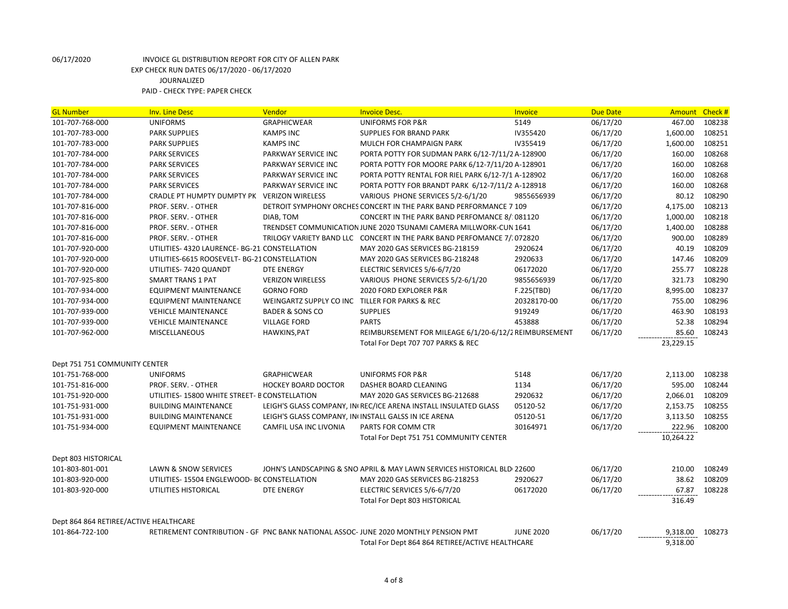| <b>GL Number</b>                       | <b>Inv. Line Desc</b>                         | Vendor                                         | <b>Invoice Desc.</b>                                                               | <b>Invoice</b>   | <b>Due Date</b> | Amount    | Check# |
|----------------------------------------|-----------------------------------------------|------------------------------------------------|------------------------------------------------------------------------------------|------------------|-----------------|-----------|--------|
| 101-707-768-000                        | <b>UNIFORMS</b>                               | <b>GRAPHICWEAR</b>                             | UNIFORMS FOR P&R                                                                   | 5149             | 06/17/20        | 467.00    | 108238 |
| 101-707-783-000                        | <b>PARK SUPPLIES</b>                          | <b>KAMPS INC</b>                               | <b>SUPPLIES FOR BRAND PARK</b>                                                     | IV355420         | 06/17/20        | 1,600.00  | 108251 |
| 101-707-783-000                        | <b>PARK SUPPLIES</b>                          | <b>KAMPS INC</b>                               | MULCH FOR CHAMPAIGN PARK                                                           | IV355419         | 06/17/20        | 1,600.00  | 108251 |
| 101-707-784-000                        | <b>PARK SERVICES</b>                          | PARKWAY SERVICE INC                            | PORTA POTTY FOR SUDMAN PARK 6/12-7/11/2 A-128900                                   |                  | 06/17/20        | 160.00    | 108268 |
| 101-707-784-000                        | <b>PARK SERVICES</b>                          | PARKWAY SERVICE INC                            | PORTA POTTY FOR MOORE PARK 6/12-7/11/20 A-128901                                   |                  | 06/17/20        | 160.00    | 108268 |
| 101-707-784-000                        | <b>PARK SERVICES</b>                          | PARKWAY SERVICE INC                            | PORTA POTTY RENTAL FOR RIEL PARK 6/12-7/1 A-128902                                 |                  | 06/17/20        | 160.00    | 108268 |
| 101-707-784-000                        | <b>PARK SERVICES</b>                          | PARKWAY SERVICE INC                            | PORTA POTTY FOR BRANDT PARK 6/12-7/11/2 A-128918                                   |                  | 06/17/20        | 160.00    | 108268 |
| 101-707-784-000                        | CRADLE PT HUMPTY DUMPTY PK VERIZON WIRELESS   |                                                | VARIOUS PHONE SERVICES 5/2-6/1/20                                                  | 9855656939       | 06/17/20        | 80.12     | 108290 |
| 101-707-816-000                        | PROF. SERV. - OTHER                           |                                                | DETROIT SYMPHONY ORCHES CONCERT IN THE PARK BAND PERFORMANCE 7 109                 |                  | 06/17/20        | 4,175.00  | 108213 |
| 101-707-816-000                        | PROF. SERV. - OTHER                           | DIAB, TOM                                      | CONCERT IN THE PARK BAND PERFOMANCE 8/:081120                                      |                  | 06/17/20        | 1,000.00  | 108218 |
| 101-707-816-000                        | PROF. SERV. - OTHER                           |                                                | TRENDSET COMMUNICATION JUNE 2020 TSUNAMI CAMERA MILLWORK-CUN 1641                  |                  | 06/17/20        | 1,400.00  | 108288 |
| 101-707-816-000                        | PROF. SERV. - OTHER                           |                                                | TRILOGY VARIETY BAND LLC CONCERT IN THE PARK BAND PERFOMANCE 7/1072820             |                  | 06/17/20        | 900.00    | 108289 |
| 101-707-920-000                        | UTILITIES-4320 LAURENCE-BG-21 CONSTELLATION   |                                                | MAY 2020 GAS SERVICES BG-218159                                                    | 2920624          | 06/17/20        | 40.19     | 108209 |
| 101-707-920-000                        | UTILITIES-6615 ROOSEVELT- BG-21 CONSTELLATION |                                                | MAY 2020 GAS SERVICES BG-218248                                                    | 2920633          | 06/17/20        | 147.46    | 108209 |
| 101-707-920-000                        | UTILITIES-7420 QUANDT                         | <b>DTE ENERGY</b>                              | ELECTRIC SERVICES 5/6-6/7/20                                                       | 06172020         | 06/17/20        | 255.77    | 108228 |
| 101-707-925-800                        | <b>SMART TRANS 1 PAT</b>                      | <b>VERIZON WIRELESS</b>                        | VARIOUS PHONE SERVICES 5/2-6/1/20                                                  | 9855656939       | 06/17/20        | 321.73    | 108290 |
| 101-707-934-000                        | <b>EQUIPMENT MAINTENANCE</b>                  | <b>GORNO FORD</b>                              | 2020 FORD EXPLORER P&R                                                             | F.225(TBD)       | 06/17/20        | 8,995.00  | 108237 |
| 101-707-934-000                        | <b>EQUIPMENT MAINTENANCE</b>                  | WEINGARTZ SUPPLY CO INC TILLER FOR PARKS & REC |                                                                                    | 20328170-00      | 06/17/20        | 755.00    | 108296 |
| 101-707-939-000                        | <b>VEHICLE MAINTENANCE</b>                    | <b>BADER &amp; SONS CO</b>                     | <b>SUPPLIES</b>                                                                    | 919249           | 06/17/20        | 463.90    | 108193 |
| 101-707-939-000                        | <b>VEHICLE MAINTENANCE</b>                    | <b>VILLAGE FORD</b>                            | <b>PARTS</b>                                                                       | 453888           | 06/17/20        | 52.38     | 108294 |
|                                        |                                               |                                                |                                                                                    |                  |                 |           |        |
| 101-707-962-000                        | <b>MISCELLANEOUS</b>                          | HAWKINS, PAT                                   | REIMBURSEMENT FOR MILEAGE 6/1/20-6/12/2 REIMBURSEMENT                              |                  | 06/17/20        | 85.60     | 108243 |
|                                        |                                               |                                                | Total For Dept 707 707 PARKS & REC                                                 |                  |                 | 23,229.15 |        |
|                                        |                                               |                                                |                                                                                    |                  |                 |           |        |
| Dept 751 751 COMMUNITY CENTER          |                                               |                                                |                                                                                    |                  |                 |           |        |
| 101-751-768-000                        | <b>UNIFORMS</b>                               | <b>GRAPHICWEAR</b>                             | UNIFORMS FOR P&R                                                                   | 5148             | 06/17/20        | 2,113.00  | 108238 |
| 101-751-816-000                        | PROF. SERV. - OTHER                           | <b>HOCKEY BOARD DOCTOR</b>                     | DASHER BOARD CLEANING                                                              | 1134             | 06/17/20        | 595.00    | 108244 |
| 101-751-920-000                        | UTILITIES-15800 WHITE STREET- B CONSTELLATION |                                                | MAY 2020 GAS SERVICES BG-212688                                                    | 2920632          | 06/17/20        | 2,066.01  | 108209 |
| 101-751-931-000                        | <b>BUILDING MAINTENANCE</b>                   |                                                | LEIGH'S GLASS COMPANY, IN REC/ICE ARENA INSTALL INSULATED GLASS                    | 05120-52         | 06/17/20        | 2,153.75  | 108255 |
| 101-751-931-000                        | <b>BUILDING MAINTENANCE</b>                   |                                                | LEIGH'S GLASS COMPANY, IN INSTALL GALSS IN ICE ARENA                               | 05120-51         | 06/17/20        | 3,113.50  | 108255 |
| 101-751-934-000                        | <b>EQUIPMENT MAINTENANCE</b>                  | CAMFIL USA INC LIVONIA                         | PARTS FOR COMM CTR                                                                 | 30164971         | 06/17/20        | 222.96    | 108200 |
|                                        |                                               |                                                | Total For Dept 751 751 COMMUNITY CENTER                                            |                  |                 | 10,264.22 |        |
|                                        |                                               |                                                |                                                                                    |                  |                 |           |        |
| Dept 803 HISTORICAL                    |                                               |                                                |                                                                                    |                  |                 |           |        |
| 101-803-801-001                        | LAWN & SNOW SERVICES                          |                                                | JOHN'S LANDSCAPING & SNO APRIL & MAY LAWN SERVICES HISTORICAL BLD(22600)           |                  | 06/17/20        | 210.00    | 108249 |
| 101-803-920-000                        | UTILITIES-15504 ENGLEWOOD- BC CONSTELLATION   |                                                | MAY 2020 GAS SERVICES BG-218253                                                    | 2920627          | 06/17/20        | 38.62     | 108209 |
| 101-803-920-000                        | UTILITIES HISTORICAL                          | <b>DTE ENERGY</b>                              | ELECTRIC SERVICES 5/6-6/7/20                                                       | 06172020         | 06/17/20        | 67.87     | 108228 |
|                                        |                                               |                                                | Total For Dept 803 HISTORICAL                                                      |                  |                 | 316.49    |        |
|                                        |                                               |                                                |                                                                                    |                  |                 |           |        |
| Dept 864 864 RETIREE/ACTIVE HEALTHCARE |                                               |                                                |                                                                                    |                  |                 |           |        |
| 101-864-722-100                        |                                               |                                                | RETIREMENT CONTRIBUTION - GF PNC BANK NATIONAL ASSOC-JUNE 2020 MONTHLY PENSION PMT | <b>JUNE 2020</b> | 06/17/20        | 9,318.00  | 108273 |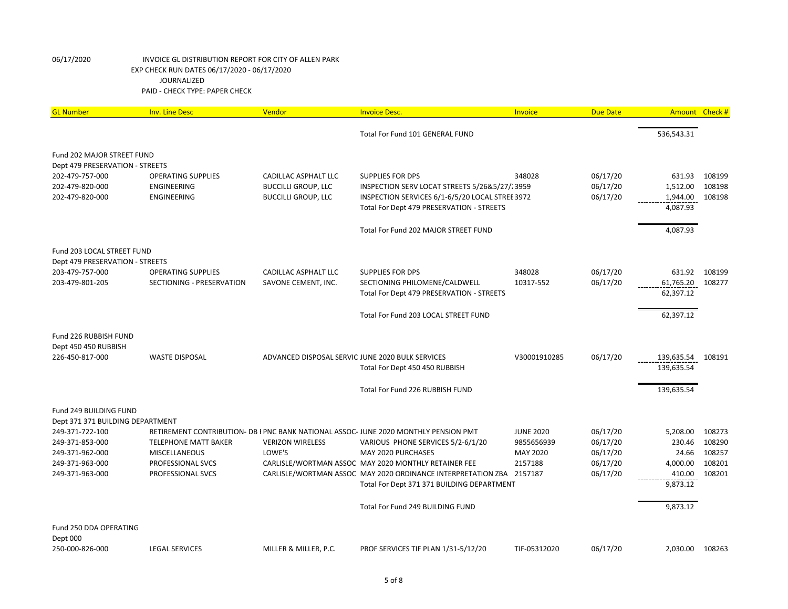| <b>GL Number</b>                   | <b>Inv. Line Desc</b>       | Vendor                                           | <b>Invoice Desc.</b>                                                                | Invoice          | <b>Due Date</b> |            | Amount Check # |
|------------------------------------|-----------------------------|--------------------------------------------------|-------------------------------------------------------------------------------------|------------------|-----------------|------------|----------------|
|                                    |                             |                                                  | Total For Fund 101 GENERAL FUND                                                     |                  |                 | 536,543.31 |                |
| Fund 202 MAJOR STREET FUND         |                             |                                                  |                                                                                     |                  |                 |            |                |
| Dept 479 PRESERVATION - STREETS    |                             |                                                  |                                                                                     |                  |                 |            |                |
| 202-479-757-000                    | <b>OPERATING SUPPLIES</b>   | CADILLAC ASPHALT LLC                             | SUPPLIES FOR DPS                                                                    | 348028           | 06/17/20        | 631.93     | 108199         |
| 202-479-820-000                    | ENGINEERING                 | <b>BUCCILLI GROUP, LLC</b>                       | INSPECTION SERV LOCAT STREETS 5/26&5/27/23959                                       |                  | 06/17/20        | 1,512.00   | 108198         |
| 202-479-820-000                    | ENGINEERING                 | <b>BUCCILLI GROUP, LLC</b>                       | INSPECTION SERVICES 6/1-6/5/20 LOCAL STREE 3972                                     |                  | 06/17/20        | 1,944.00   | 108198         |
|                                    |                             |                                                  | Total For Dept 479 PRESERVATION - STREETS                                           |                  |                 | 4,087.93   |                |
|                                    |                             |                                                  | Total For Fund 202 MAJOR STREET FUND                                                |                  |                 | 4,087.93   |                |
| Fund 203 LOCAL STREET FUND         |                             |                                                  |                                                                                     |                  |                 |            |                |
| Dept 479 PRESERVATION - STREETS    |                             |                                                  |                                                                                     |                  |                 |            |                |
| 203-479-757-000                    | <b>OPERATING SUPPLIES</b>   | CADILLAC ASPHALT LLC                             | SUPPLIES FOR DPS                                                                    | 348028           | 06/17/20        | 631.92     | 108199         |
| 203-479-801-205                    | SECTIONING - PRESERVATION   | SAVONE CEMENT, INC.                              | SECTIONING PHILOMENE/CALDWELL                                                       | 10317-552        | 06/17/20        | 61,765.20  | 108277         |
|                                    |                             |                                                  | Total For Dept 479 PRESERVATION - STREETS                                           |                  |                 | 62,397.12  |                |
|                                    |                             |                                                  | Total For Fund 203 LOCAL STREET FUND                                                |                  |                 | 62,397.12  |                |
| Fund 226 RUBBISH FUND              |                             |                                                  |                                                                                     |                  |                 |            |                |
| Dept 450 450 RUBBISH               |                             |                                                  |                                                                                     |                  |                 |            |                |
| 226-450-817-000                    | <b>WASTE DISPOSAL</b>       | ADVANCED DISPOSAL SERVIC JUNE 2020 BULK SERVICES |                                                                                     | V30001910285     | 06/17/20        | 139,635.54 | 108191         |
|                                    |                             |                                                  | Total For Dept 450 450 RUBBISH                                                      |                  |                 | 139,635.54 |                |
|                                    |                             |                                                  | Total For Fund 226 RUBBISH FUND                                                     |                  |                 | 139,635.54 |                |
| Fund 249 BUILDING FUND             |                             |                                                  |                                                                                     |                  |                 |            |                |
| Dept 371 371 BUILDING DEPARTMENT   |                             |                                                  |                                                                                     |                  |                 |            |                |
| 249-371-722-100                    |                             |                                                  | RETIREMENT CONTRIBUTION- DB I PNC BANK NATIONAL ASSOC-JUNE 2020 MONTHLY PENSION PMT | <b>JUNE 2020</b> | 06/17/20        | 5,208.00   | 108273         |
| 249-371-853-000                    | <b>TELEPHONE MATT BAKER</b> | <b>VERIZON WIRELESS</b>                          | VARIOUS PHONE SERVICES 5/2-6/1/20                                                   | 9855656939       | 06/17/20        | 230.46     | 108290         |
| 249-371-962-000                    | <b>MISCELLANEOUS</b>        | LOWE'S                                           | MAY 2020 PURCHASES                                                                  | MAY 2020         | 06/17/20        | 24.66      | 108257         |
| 249-371-963-000                    | PROFESSIONAL SVCS           |                                                  | CARLISLE/WORTMAN ASSOC MAY 2020 MONTHLY RETAINER FEE                                | 2157188          | 06/17/20        | 4,000.00   | 108201         |
| 249-371-963-000                    | PROFESSIONAL SVCS           |                                                  | CARLISLE/WORTMAN ASSOC MAY 2020 ORDINANCE INTERPRETATION ZBA 2157187                |                  | 06/17/20        | 410.00     | 108201         |
|                                    |                             |                                                  | Total For Dept 371 371 BUILDING DEPARTMENT                                          |                  |                 | 9,873.12   |                |
|                                    |                             |                                                  | Total For Fund 249 BUILDING FUND                                                    |                  |                 | 9,873.12   |                |
| Fund 250 DDA OPERATING<br>Dept 000 |                             |                                                  |                                                                                     |                  |                 |            |                |
| 250-000-826-000                    | <b>LEGAL SERVICES</b>       | MILLER & MILLER, P.C.                            | PROF SERVICES TIF PLAN 1/31-5/12/20                                                 | TIF-05312020     | 06/17/20        | 2,030.00   | 108263         |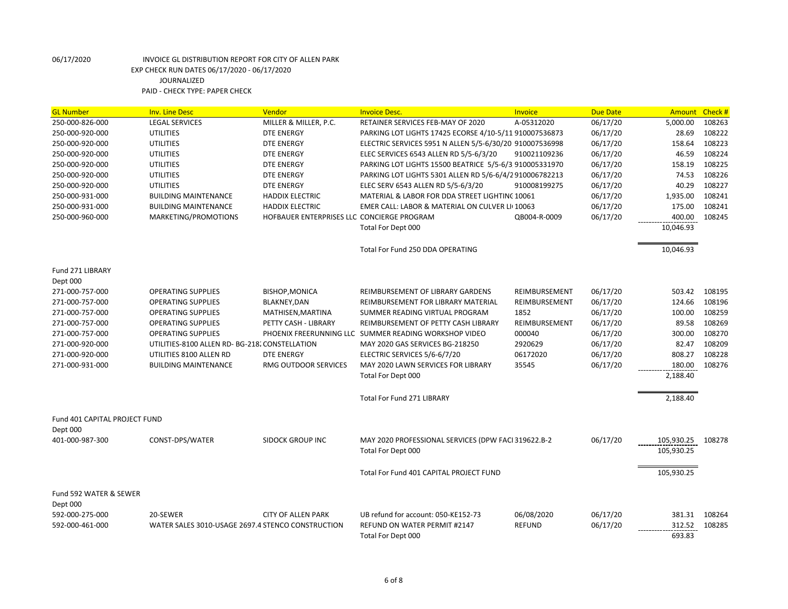| <b>GL Number</b>                   | <b>Inv. Line Desc</b>                             | Vendor                                     | <b>Invoice Desc.</b>                                    | Invoice       | <b>Due Date</b> | <b>Amount</b> | Check# |
|------------------------------------|---------------------------------------------------|--------------------------------------------|---------------------------------------------------------|---------------|-----------------|---------------|--------|
| 250-000-826-000                    | <b>LEGAL SERVICES</b>                             | MILLER & MILLER, P.C.                      | RETAINER SERVICES FEB-MAY OF 2020                       | A-05312020    | 06/17/20        | 5,000.00      | 108263 |
| 250-000-920-000                    | <b>UTILITIES</b>                                  | <b>DTE ENERGY</b>                          | PARKING LOT LIGHTS 17425 ECORSE 4/10-5/11 910007536873  |               | 06/17/20        | 28.69         | 108222 |
| 250-000-920-000                    | <b>UTILITIES</b>                                  | <b>DTE ENERGY</b>                          | ELECTRIC SERVICES 5951 N ALLEN 5/5-6/30/20 910007536998 |               | 06/17/20        | 158.64        | 108223 |
| 250-000-920-000                    | <b>UTILITIES</b>                                  | <b>DTE ENERGY</b>                          | ELEC SERVICES 6543 ALLEN RD 5/5-6/3/20                  | 910021109236  | 06/17/20        | 46.59         | 108224 |
| 250-000-920-000                    | <b>UTILITIES</b>                                  | <b>DTE ENERGY</b>                          | PARKING LOT LIGHTS 15500 BEATRICE 5/5-6/3 910005331970  |               | 06/17/20        | 158.19        | 108225 |
| 250-000-920-000                    | <b>UTILITIES</b>                                  | <b>DTE ENERGY</b>                          | PARKING LOT LIGHTS 5301 ALLEN RD 5/6-6/4/2910006782213  |               | 06/17/20        | 74.53         | 108226 |
| 250-000-920-000                    | <b>UTILITIES</b>                                  | DTE ENERGY                                 | ELEC SERV 6543 ALLEN RD 5/5-6/3/20                      | 910008199275  | 06/17/20        | 40.29         | 108227 |
| 250-000-931-000                    | <b>BUILDING MAINTENANCE</b>                       | <b>HADDIX ELECTRIC</b>                     | MATERIAL & LABOR FOR DDA STREET LIGHTINC 10061          |               | 06/17/20        | 1,935.00      | 108241 |
| 250-000-931-000                    | <b>BUILDING MAINTENANCE</b>                       | <b>HADDIX ELECTRIC</b>                     | EMER CALL: LABOR & MATERIAL ON CULVER LI(10063          |               | 06/17/20        | 175.00        | 108241 |
| 250-000-960-000                    | MARKETING/PROMOTIONS                              | HOFBAUER ENTERPRISES LLC CONCIERGE PROGRAM |                                                         | QB004-R-0009  | 06/17/20        | 400.00        | 108245 |
|                                    |                                                   |                                            | Total For Dept 000                                      |               |                 | 10,046.93     |        |
|                                    |                                                   |                                            | Total For Fund 250 DDA OPERATING                        |               |                 | 10,046.93     |        |
| Fund 271 LIBRARY<br>Dept 000       |                                                   |                                            |                                                         |               |                 |               |        |
| 271-000-757-000                    | <b>OPERATING SUPPLIES</b>                         | <b>BISHOP, MONICA</b>                      | REIMBURSEMENT OF LIBRARY GARDENS                        | REIMBURSEMENT | 06/17/20        | 503.42        | 108195 |
| 271-000-757-000                    | <b>OPERATING SUPPLIES</b>                         | BLAKNEY, DAN                               | REIMBURSEMENT FOR LIBRARY MATERIAL                      | REIMBURSEMENT | 06/17/20        | 124.66        | 108196 |
| 271-000-757-000                    | <b>OPERATING SUPPLIES</b>                         | MATHISEN, MARTINA                          | SUMMER READING VIRTUAL PROGRAM                          | 1852          | 06/17/20        | 100.00        | 108259 |
| 271-000-757-000                    | <b>OPERATING SUPPLIES</b>                         | PETTY CASH - LIBRARY                       | REIMBURSEMENT OF PETTY CASH LIBRARY                     | REIMBURSEMENT | 06/17/20        | 89.58         | 108269 |
| 271-000-757-000                    | <b>OPERATING SUPPLIES</b>                         |                                            | PHOENIX FREERUNNING LLC SUMMER READING WORKSHOP VIDEO   | 000040        | 06/17/20        | 300.00        | 108270 |
| 271-000-920-000                    | UTILITIES-8100 ALLEN RD- BG-218. CONSTELLATION    |                                            | MAY 2020 GAS SERVICES BG-218250                         | 2920629       | 06/17/20        | 82.47         | 108209 |
| 271-000-920-000                    | UTILITIES 8100 ALLEN RD                           | <b>DTE ENERGY</b>                          | ELECTRIC SERVICES 5/6-6/7/20                            | 06172020      | 06/17/20        | 808.27        | 108228 |
| 271-000-931-000                    | <b>BUILDING MAINTENANCE</b>                       | RMG OUTDOOR SERVICES                       | MAY 2020 LAWN SERVICES FOR LIBRARY                      | 35545         | 06/17/20        | 180.00        | 108276 |
|                                    |                                                   |                                            | Total For Dept 000                                      |               |                 | 2,188.40      |        |
|                                    |                                                   |                                            | Total For Fund 271 LIBRARY                              |               |                 | 2,188.40      |        |
| Fund 401 CAPITAL PROJECT FUND      |                                                   |                                            |                                                         |               |                 |               |        |
| Dept 000                           |                                                   |                                            |                                                         |               |                 |               |        |
| 401-000-987-300                    | CONST-DPS/WATER                                   | <b>SIDOCK GROUP INC</b>                    | MAY 2020 PROFESSIONAL SERVICES (DPW FACI 319622.B-2     |               | 06/17/20        | 105,930.25    | 108278 |
|                                    |                                                   |                                            | Total For Dept 000                                      |               |                 | 105,930.25    |        |
|                                    |                                                   |                                            | Total For Fund 401 CAPITAL PROJECT FUND                 |               |                 | 105,930.25    |        |
| Fund 592 WATER & SEWER<br>Dept 000 |                                                   |                                            |                                                         |               |                 |               |        |
| 592-000-275-000                    | 20-SEWER                                          | <b>CITY OF ALLEN PARK</b>                  | UB refund for account: 050-KE152-73                     | 06/08/2020    | 06/17/20        | 381.31        | 108264 |
| 592-000-461-000                    | WATER SALES 3010-USAGE 2697.4 STENCO CONSTRUCTION |                                            | <b>REFUND ON WATER PERMIT #2147</b>                     | <b>REFUND</b> | 06/17/20        | 312.52        | 108285 |
|                                    |                                                   |                                            | Total For Dept 000                                      |               |                 | 693.83        |        |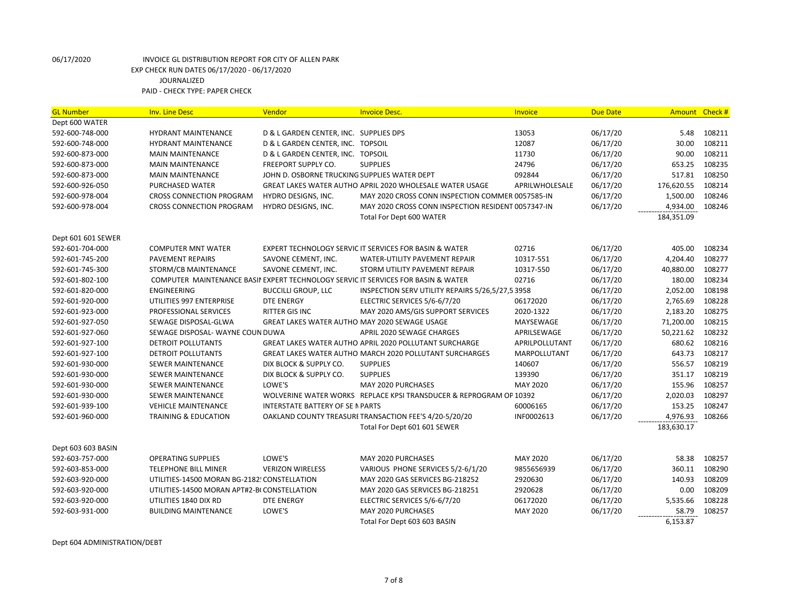| <b>GL Number</b>   | <b>Inv. Line Desc</b>                        | Vendor                                        | <b>Invoice Desc.</b>                                                              | Invoice         | <b>Due Date</b> | <b>Amount</b> | Check # |
|--------------------|----------------------------------------------|-----------------------------------------------|-----------------------------------------------------------------------------------|-----------------|-----------------|---------------|---------|
| Dept 600 WATER     |                                              |                                               |                                                                                   |                 |                 |               |         |
| 592-600-748-000    | <b>HYDRANT MAINTENANCE</b>                   | D & L GARDEN CENTER, INC. SUPPLIES DPS        |                                                                                   | 13053           | 06/17/20        | 5.48          | 108211  |
| 592-600-748-000    | <b>HYDRANT MAINTENANCE</b>                   | D & L GARDEN CENTER, INC. TOPSOIL             |                                                                                   | 12087           | 06/17/20        | 30.00         | 108211  |
| 592-600-873-000    | <b>MAIN MAINTENANCE</b>                      | D & L GARDEN CENTER, INC. TOPSOIL             |                                                                                   | 11730           | 06/17/20        | 90.00         | 108211  |
| 592-600-873-000    | <b>MAIN MAINTENANCE</b>                      | FREEPORT SUPPLY CO.                           | <b>SUPPLIES</b>                                                                   | 24796           | 06/17/20        | 653.25        | 108235  |
| 592-600-873-000    | <b>MAIN MAINTENANCE</b>                      | JOHN D. OSBORNE TRUCKING SUPPLIES WATER DEPT  |                                                                                   | 092844          | 06/17/20        | 517.81        | 108250  |
| 592-600-926-050    | <b>PURCHASED WATER</b>                       |                                               | GREAT LAKES WATER AUTHO APRIL 2020 WHOLESALE WATER USAGE                          | APRILWHOLESALE  | 06/17/20        | 176,620.55    | 108214  |
| 592-600-978-004    | <b>CROSS CONNECTION PROGRAM</b>              | HYDRO DESIGNS, INC.                           | MAY 2020 CROSS CONN INSPECTION COMMER 0057585-IN                                  |                 | 06/17/20        | 1,500.00      | 108246  |
| 592-600-978-004    | <b>CROSS CONNECTION PROGRAM</b>              | HYDRO DESIGNS, INC.                           | MAY 2020 CROSS CONN INSPECTION RESIDENT 0057347-IN                                |                 | 06/17/20        | 4,934.00      | 108246  |
|                    |                                              |                                               | Total For Dept 600 WATER                                                          |                 |                 | 184,351.09    |         |
| Dept 601 601 SEWER |                                              |                                               |                                                                                   |                 |                 |               |         |
| 592-601-704-000    | <b>COMPUTER MNT WATER</b>                    |                                               | EXPERT TECHNOLOGY SERVIC IT SERVICES FOR BASIN & WATER                            | 02716           | 06/17/20        | 405.00        | 108234  |
| 592-601-745-200    | <b>PAVEMENT REPAIRS</b>                      | SAVONE CEMENT, INC.                           | <b>WATER-UTILITY PAVEMENT REPAIR</b>                                              | 10317-551       | 06/17/20        | 4,204.40      | 108277  |
| 592-601-745-300    | STORM/CB MAINTENANCE                         | SAVONE CEMENT, INC.                           | STORM UTILITY PAVEMENT REPAIR                                                     | 10317-550       | 06/17/20        | 40,880.00     | 108277  |
| 592-601-802-100    |                                              |                                               | COMPUTER MAINTENANCE BASII EXPERT TECHNOLOGY SERVIC IT SERVICES FOR BASIN & WATER | 02716           | 06/17/20        | 180.00        | 108234  |
| 592-601-820-000    | <b>ENGINEERING</b>                           | <b>BUCCILLI GROUP, LLC</b>                    | INSPECTION SERV UTILITY REPAIRS 5/26,5/27,5 3958                                  |                 | 06/17/20        | 2,052.00      | 108198  |
| 592-601-920-000    | UTILITIES 997 ENTERPRISE                     | <b>DTE ENERGY</b>                             | ELECTRIC SERVICES 5/6-6/7/20                                                      | 06172020        | 06/17/20        | 2,765.69      | 108228  |
| 592-601-923-000    | PROFESSIONAL SERVICES                        | <b>RITTER GIS INC</b>                         | MAY 2020 AMS/GIS SUPPORT SERVICES                                                 | 2020-1322       | 06/17/20        | 2,183.20      | 108275  |
| 592-601-927-050    | SEWAGE DISPOSAL-GLWA                         | GREAT LAKES WATER AUTHO MAY 2020 SEWAGE USAGE |                                                                                   | MAYSEWAGE       | 06/17/20        | 71,200.00     | 108215  |
| 592-601-927-060    | SEWAGE DISPOSAL-WAYNE COUN DUWA              |                                               | <b>APRIL 2020 SEWAGE CHARGES</b>                                                  | APRILSEWAGE     | 06/17/20        | 50,221.62     | 108232  |
| 592-601-927-100    | DETROIT POLLUTANTS                           |                                               | GREAT LAKES WATER AUTHO APRIL 2020 POLLUTANT SURCHARGE                            | APRILPOLLUTANT  | 06/17/20        | 680.62        | 108216  |
| 592-601-927-100    | DETROIT POLLUTANTS                           |                                               | <b>GREAT LAKES WATER AUTHO MARCH 2020 POLLUTANT SURCHARGES</b>                    | MARPOLLUTANT    | 06/17/20        | 643.73        | 108217  |
| 592-601-930-000    | SEWER MAINTENANCE                            | DIX BLOCK & SUPPLY CO.                        | <b>SUPPLIES</b>                                                                   | 140607          | 06/17/20        | 556.57        | 108219  |
| 592-601-930-000    | <b>SEWER MAINTENANCE</b>                     | DIX BLOCK & SUPPLY CO.                        | <b>SUPPLIES</b>                                                                   | 139390          | 06/17/20        | 351.17        | 108219  |
| 592-601-930-000    | <b>SEWER MAINTENANCE</b>                     | LOWE'S                                        | MAY 2020 PURCHASES                                                                | MAY 2020        | 06/17/20        | 155.96        | 108257  |
| 592-601-930-000    | <b>SEWER MAINTENANCE</b>                     |                                               | WOLVERINE WATER WORKS REPLACE KPSI TRANSDUCER & REPROGRAM OP 10392                |                 | 06/17/20        | 2,020.03      | 108297  |
| 592-601-939-100    | <b>VEHICLE MAINTENANCE</b>                   | <b>INTERSTATE BATTERY OF SE N PARTS</b>       |                                                                                   | 60006165        | 06/17/20        | 153.25        | 108247  |
| 592-601-960-000    | <b>TRAINING &amp; EDUCATION</b>              |                                               | OAKLAND COUNTY TREASURI TRANSACTION FEE'S 4/20-5/20/20                            | INF0002613      | 06/17/20        | 4,976.93      | 108266  |
|                    |                                              |                                               | Total For Dept 601 601 SEWER                                                      |                 |                 | 183,630.17    |         |
| Dept 603 603 BASIN |                                              |                                               |                                                                                   |                 |                 |               |         |
| 592-603-757-000    | <b>OPERATING SUPPLIES</b>                    | LOWE'S                                        | <b>MAY 2020 PURCHASES</b>                                                         | <b>MAY 2020</b> | 06/17/20        | 58.38         | 108257  |
| 592-603-853-000    | <b>TELEPHONE BILL MINER</b>                  | <b>VERIZON WIRELESS</b>                       | VARIOUS PHONE SERVICES 5/2-6/1/20                                                 | 9855656939      | 06/17/20        | 360.11        | 108290  |
| 592-603-920-000    | UTILITIES-14500 MORAN BG-2182! CONSTELLATION |                                               | MAY 2020 GAS SERVICES BG-218252                                                   | 2920630         | 06/17/20        | 140.93        | 108209  |
| 592-603-920-000    | UTILITIES-14500 MORAN APT#2-BI CONSTELLATION |                                               | MAY 2020 GAS SERVICES BG-218251                                                   | 2920628         | 06/17/20        | 0.00          | 108209  |
| 592-603-920-000    | UTILITIES 1840 DIX RD                        | <b>DTE ENERGY</b>                             | ELECTRIC SERVICES 5/6-6/7/20                                                      | 06172020        | 06/17/20        | 5,535.66      | 108228  |
| 592-603-931-000    | <b>BUILDING MAINTENANCE</b>                  | LOWE'S                                        | MAY 2020 PURCHASES                                                                | MAY 2020        | 06/17/20        | 58.79         | 108257  |
|                    |                                              |                                               | Total For Dept 603 603 BASIN                                                      |                 |                 | 6,153.87      |         |

Dept 604 ADMINISTRATION/DEBT